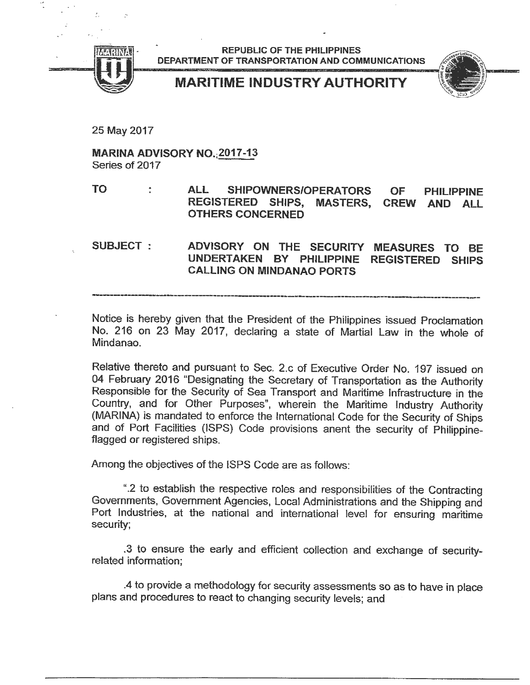

REPUBLlC OF THE PHILlPPINES DEPARTMENT OF TRANSPORTATION AND COMMUNICATIONS

MARITIME INDUSTRY AUTHORITY



25 May 2017

MARINA ADVISORY NO. 2017-13 Series of 2017

TO ÷ ALL SHIPOWNERS/OPERATORS OF PHILIPPINE REGISTERED SHIPS, MASTERS, CREW AND ALL OTHERS CONCERNED

SUBJECT: ADVISORY ON THE SECURITY MEASURES TO BE UNDERT AKEN BY PHILlPPINE REGISTERED SHIPS CALLlNG ON MINDANAO PORTS

Notice is hereby given that the President of the Philippines issued Proclamation No. 216 on 23 May 2017, declaring a state of Martial Law in the whole of Mindanao.

Relative thereto and pursuant to Sec. 2.c of Executive Order No. 197 issued on 04 February 2016 "Designating the Secretary of Transportation as the Authority Responsible for the Security of Sea Transport and Maritime Infrastructure in the Country, and for Other Purposes", wherein the Maritime Industry Authority (MARINA) is mandated to enforce the International Code for the Security of Ships and of Port Facilities (ISPS) Code provisions anent the security of Philippineflagged or registered ships.

Among the objectives of the ISPS Code are as follows:

".2 to establish the respective roles and responsibilities of the Contracting Governments, Government Agencies, Local Administrations and the Shipping and Port Industries, at the national and intemational level for ensuring maritime security;

.3 to ensure the early and efficient collection and exchange of securityrelated information;

.4 to provide a methodology for security assessments so as to have in place plans and procedures to react to changing security levels; and